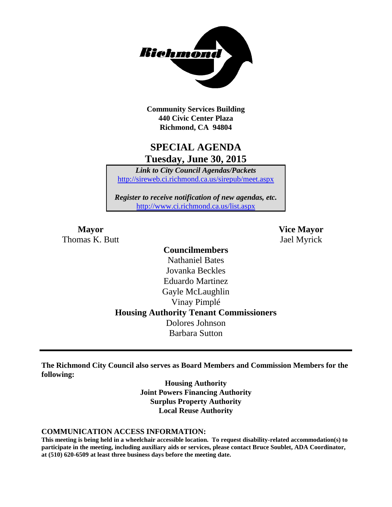

**Community Services Building 440 Civic Center Plaza Richmond, CA 94804**

## **SPECIAL AGENDA Tuesday, June 30, 2015**

*Link to City Council Agendas/Packets* <http://sireweb.ci.richmond.ca.us/sirepub/meet.aspx>

*Register to receive notification of new agendas, etc.* <http://www.ci.richmond.ca.us/list.aspx>

Thomas K. Butt Jael Myrick

**Mayor Vice Mayor**

### **Councilmembers** Nathaniel Bates Jovanka Beckles Eduardo Martinez Gayle McLaughlin Vinay Pimplé **Housing Authority Tenant Commissioners** Dolores Johnson Barbara Sutton

**The Richmond City Council also serves as Board Members and Commission Members for the following:**

> **Housing Authority Joint Powers Financing Authority Surplus Property Authority Local Reuse Authority**

#### **COMMUNICATION ACCESS INFORMATION:**

**This meeting is being held in a wheelchair accessible location. To request disability-related accommodation(s) to participate in the meeting, including auxiliary aids or services, please contact Bruce Soublet, ADA Coordinator, at (510) 620-6509 at least three business days before the meeting date.**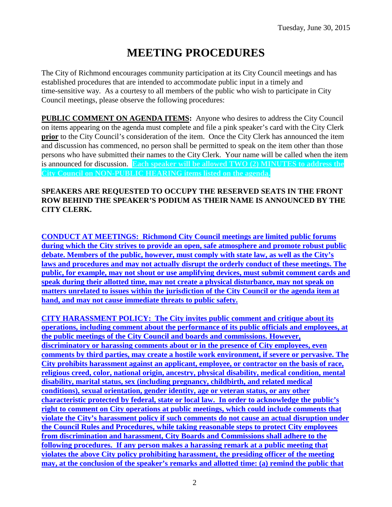# **MEETING PROCEDURES**

The City of Richmond encourages community participation at its City Council meetings and has established procedures that are intended to accommodate public input in a timely and time-sensitive way. As a courtesy to all members of the public who wish to participate in City Council meetings, please observe the following procedures:

**PUBLIC COMMENT ON AGENDA ITEMS:** Anyone who desires to address the City Council on items appearing on the agenda must complete and file a pink speaker's card with the City Clerk **prior** to the City Council's consideration of the item. Once the City Clerk has announced the item and discussion has commenced, no person shall be permitted to speak on the item other than those persons who have submitted their names to the City Clerk. Your name will be called when the item is announced for discussion. **Each speaker will be allowed TWO (2) MINUTES to address the City Council on NON-PUBLIC HEARING items listed on the agenda.**

#### **SPEAKERS ARE REQUESTED TO OCCUPY THE RESERVED SEATS IN THE FRONT ROW BEHIND THE SPEAKER'S PODIUM AS THEIR NAME IS ANNOUNCED BY THE CITY CLERK.**

**CONDUCT AT MEETINGS: Richmond City Council meetings are limited public forums during which the City strives to provide an open, safe atmosphere and promote robust public debate. Members of the public, however, must comply with state law, as well as the City's laws and procedures and may not actually disrupt the orderly conduct of these meetings. The public, for example, may not shout or use amplifying devices, must submit comment cards and speak during their allotted time, may not create a physical disturbance, may not speak on matters unrelated to issues within the jurisdiction of the City Council or the agenda item at hand, and may not cause immediate threats to public safety.** 

**CITY HARASSMENT POLICY: The City invites public comment and critique about its operations, including comment about the performance of its public officials and employees, at the public meetings of the City Council and boards and commissions. However, discriminatory or harassing comments about or in the presence of City employees, even comments by third parties, may create a hostile work environment, if severe or pervasive. The City prohibits harassment against an applicant, employee, or contractor on the basis of race, religious creed, color, national origin, ancestry, physical disability, medical condition, mental disability, marital status, sex (including pregnancy, childbirth, and related medical conditions), sexual orientation, gender identity, age or veteran status, or any other characteristic protected by federal, state or local law. In order to acknowledge the public's right to comment on City operations at public meetings, which could include comments that violate the City's harassment policy if such comments do not cause an actual disruption under the Council Rules and Procedures, while taking reasonable steps to protect City employees from discrimination and harassment, City Boards and Commissions shall adhere to the following procedures. If any person makes a harassing remark at a public meeting that violates the above City policy prohibiting harassment, the presiding officer of the meeting may, at the conclusion of the speaker's remarks and allotted time: (a) remind the public that**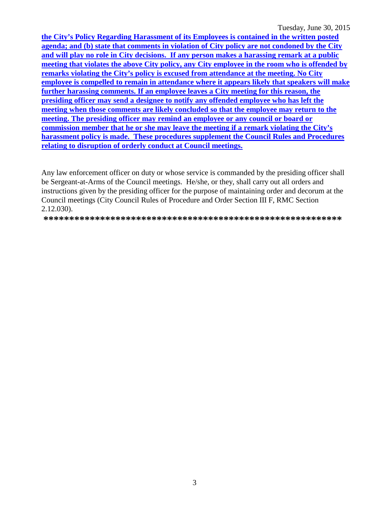Tuesday, June 30, 2015

the City's Policy Regarding Harassment of its Employees is contained in the written posted agenda; and (b) state that comments in violation of City policy are not condoned by the City and will play no role in City decisions. If any person makes a harassing remark at a public meeting that violates the above City policy, any City employee in the room who is offended by remarks violating the City's policy is excused from attendance at the meeting. No City employee is compelled to remain in attendance where it appears likely that speakers will make further harassing comments. If an employee leaves a City meeting for this reason, the presiding officer may send a designee to notify any offended employee who has left the meeting when those comments are likely concluded so that the employee may return to the meeting. The presiding officer may remind an employee or any council or board or commission member that he or she may leave the meeting if a remark violating the City's harassment policy is made. These procedures supplement the Council Rules and Procedures relating to disruption of orderly conduct at Council meetings.

Any law enforcement officer on duty or whose service is commanded by the presiding officer shall be Sergeant-at-Arms of the Council meetings. He/she, or they, shall carry out all orders and instructions given by the presiding officer for the purpose of maintaining order and decorum at the Council meetings (City Council Rules of Procedure and Order Section III F, RMC Section  $2.12.030$ ).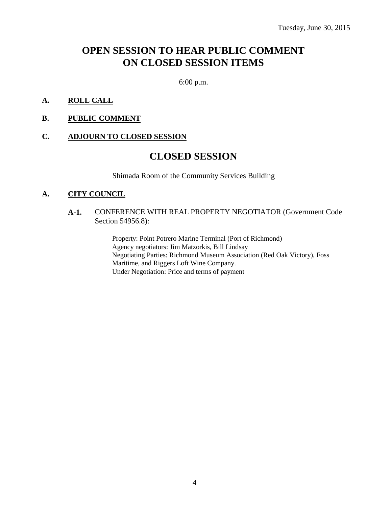## **OPEN SESSION TO HEAR PUBLIC COMMENT ON CLOSED SESSION ITEMS**

6:00 p.m.

- **A. ROLL CALL**
- **B. PUBLIC COMMENT**

#### **C. ADJOURN TO CLOSED SESSION**

### **CLOSED SESSION**

Shimada Room of the Community Services Building

#### **A. CITY COUNCIL**

#### **A-1.** CONFERENCE WITH REAL PROPERTY NEGOTIATOR (Government Code Section 54956.8):

Property: Point Potrero Marine Terminal (Port of Richmond) Agency negotiators: Jim Matzorkis, Bill Lindsay Negotiating Parties: Richmond Museum Association (Red Oak Victory), Foss Maritime, and Riggers Loft Wine Company. Under Negotiation: Price and terms of payment